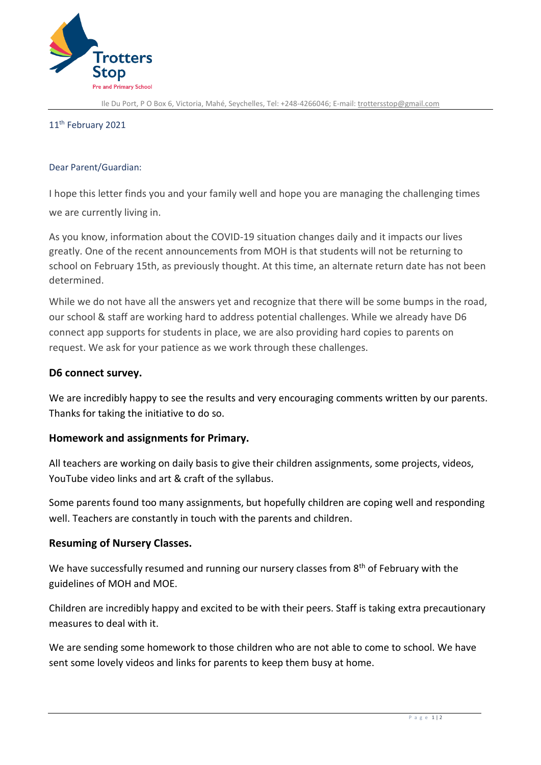

Ile Du Port, P O Box 6, Victoria, Mahé, Seychelles, Tel: +248-4266046; E-mail[: trottersstop@gmail.com](mailto:trottersstop@gmail.com)

### 11 th February 2021

### Dear Parent/Guardian:

I hope this letter finds you and your family well and hope you are managing the challenging times we are currently living in.

As you know, information about the COVID-19 situation changes daily and it impacts our lives greatly. One of the recent announcements from MOH is that students will not be returning to school on February 15th, as previously thought. At this time, an alternate return date has not been determined.

While we do not have all the answers yet and recognize that there will be some bumps in the road, our school & staff are working hard to address potential challenges. While we already have D6 connect app supports for students in place, we are also providing hard copies to parents on request. We ask for your patience as we work through these challenges.

# **D6 connect survey.**

We are incredibly happy to see the results and very encouraging comments written by our parents. Thanks for taking the initiative to do so.

# **Homework and assignments for Primary.**

All teachers are working on daily basis to give their children assignments, some projects, videos, YouTube video links and art & craft of the syllabus.

Some parents found too many assignments, but hopefully children are coping well and responding well. Teachers are constantly in touch with the parents and children.

# **Resuming of Nursery Classes.**

We have successfully resumed and running our nursery classes from 8<sup>th</sup> of February with the guidelines of MOH and MOE.

Children are incredibly happy and excited to be with their peers. Staff is taking extra precautionary measures to deal with it.

We are sending some homework to those children who are not able to come to school. We have sent some lovely videos and links for parents to keep them busy at home.